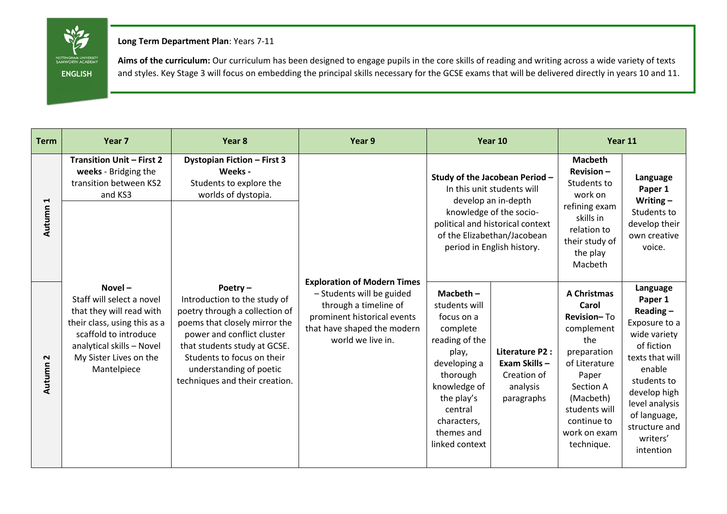NOTTINGHAM UNIVERSITY<br>SAMWORTH ACADEMY **ENGLISH**

**Long Term Department Plan**: Years 7-11

Aims of the curriculum: Our curriculum has been designed to engage pupils in the core skills of reading and writing across a wide variety of texts and styles. Key Stage 3 will focus on embedding the principal skills necessary for the GCSE exams that will be delivered directly in years 10 and 11.

| <b>Term</b>                    | Year <sub>7</sub>                                                                                                                                                                                 | Year 8                                                                                                                                                                                                                                                              | Year 9                                                                                                                                                                      | Year 10                                                                                                                                                                                                         |                                                                          | Year 11                                                                                                                                                                                          |                                                                                                                                                                                                                           |
|--------------------------------|---------------------------------------------------------------------------------------------------------------------------------------------------------------------------------------------------|---------------------------------------------------------------------------------------------------------------------------------------------------------------------------------------------------------------------------------------------------------------------|-----------------------------------------------------------------------------------------------------------------------------------------------------------------------------|-----------------------------------------------------------------------------------------------------------------------------------------------------------------------------------------------------------------|--------------------------------------------------------------------------|--------------------------------------------------------------------------------------------------------------------------------------------------------------------------------------------------|---------------------------------------------------------------------------------------------------------------------------------------------------------------------------------------------------------------------------|
| $\blacktriangleleft$<br>Autumn | <b>Transition Unit - First 2</b><br>weeks - Bridging the<br>transition between KS2<br>and KS3                                                                                                     | <b>Dystopian Fiction - First 3</b><br>Weeks -<br>Students to explore the<br>worlds of dystopia.                                                                                                                                                                     |                                                                                                                                                                             | Study of the Jacobean Period -<br>In this unit students will<br>develop an in-depth<br>knowledge of the socio-<br>political and historical context<br>of the Elizabethan/Jacobean<br>period in English history. |                                                                          | <b>Macbeth</b><br>$Revision -$<br>Students to<br>work on<br>refining exam<br>skills in<br>relation to<br>their study of<br>the play<br>Macbeth                                                   | Language<br>Paper 1<br>Writing $-$<br>Students to<br>develop their<br>own creative<br>voice.                                                                                                                              |
| $\sim$<br>Autumn               | $Novel -$<br>Staff will select a novel<br>that they will read with<br>their class, using this as a<br>scaffold to introduce<br>analytical skills - Novel<br>My Sister Lives on the<br>Mantelpiece | Poetry-<br>Introduction to the study of<br>poetry through a collection of<br>poems that closely mirror the<br>power and conflict cluster<br>that students study at GCSE.<br>Students to focus on their<br>understanding of poetic<br>techniques and their creation. | <b>Exploration of Modern Times</b><br>- Students will be guided<br>through a timeline of<br>prominent historical events<br>that have shaped the modern<br>world we live in. | Macbeth $-$<br>students will<br>focus on a<br>complete<br>reading of the<br>play,<br>developing a<br>thorough<br>knowledge of<br>the play's<br>central<br>characters,<br>themes and<br>linked context           | Literature P2 :<br>Exam Skills-<br>Creation of<br>analysis<br>paragraphs | <b>A Christmas</b><br>Carol<br>Revision-To<br>complement<br>the<br>preparation<br>of Literature<br>Paper<br>Section A<br>(Macbeth)<br>students will<br>continue to<br>work on exam<br>technique. | Language<br>Paper 1<br>Reading $-$<br>Exposure to a<br>wide variety<br>of fiction<br>texts that will<br>enable<br>students to<br>develop high<br>level analysis<br>of language,<br>structure and<br>writers'<br>intention |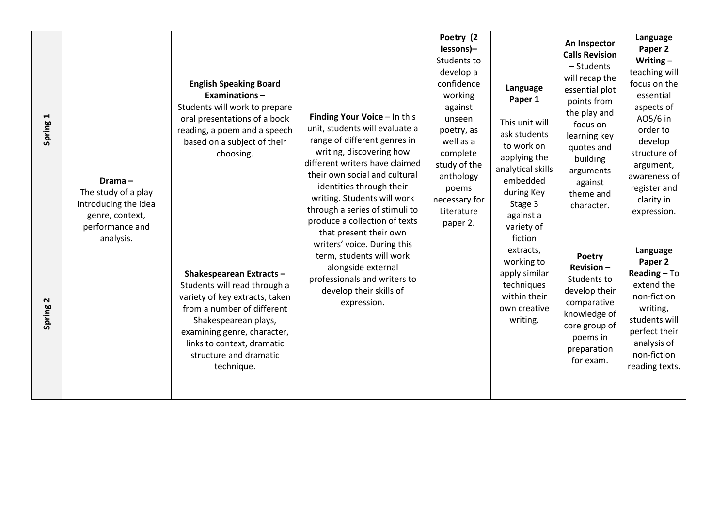| $\blacktriangleleft$<br>Spring  | Drama-<br>The study of a play<br>introducing the idea<br>genre, context,<br>performance and<br>analysis. | <b>English Speaking Board</b><br><b>Examinations-</b><br>Students will work to prepare<br>oral presentations of a book<br>reading, a poem and a speech<br>based on a subject of their<br>choosing.                                                    | Finding Your Voice - In this<br>unit, students will evaluate a<br>range of different genres in<br>writing, discovering how<br>different writers have claimed<br>their own social and cultural<br>identities through their<br>writing. Students will work<br>through a series of stimuli to<br>produce a collection of texts<br>that present their own<br>writers' voice. During this<br>term, students will work<br>alongside external<br>professionals and writers to<br>develop their skills of<br>expression. | Poetry (2<br>lessons)-<br>Students to<br>develop a<br>confidence<br>Language<br>working<br>Paper 1<br>against<br>unseen<br>This unit will<br>poetry, as<br>ask students<br>well as a<br>to work on<br>complete<br>applying the<br>study of the<br>analytical skills<br>anthology<br>embedded<br>poems<br>during Key<br>necessary for<br>Stage 3<br>Literature<br>against a<br>paper 2.<br>variety of<br>fiction<br>extracts,<br>working to<br>apply similar<br>techniques<br>within their<br>own creative<br>writing. | An Inspector<br><b>Calls Revision</b><br>- Students<br>will recap the<br>essential plot<br>points from<br>the play and<br>focus on<br>learning key<br>quotes and<br>building<br>arguments<br>against<br>theme and<br>character. | Language<br>Paper 2<br>Writing $-$<br>teaching will<br>focus on the<br>essential<br>aspects of<br>A05/6 in<br>order to<br>develop<br>structure of<br>argument,<br>awareness of<br>register and<br>clarity in<br>expression. |
|---------------------------------|----------------------------------------------------------------------------------------------------------|-------------------------------------------------------------------------------------------------------------------------------------------------------------------------------------------------------------------------------------------------------|------------------------------------------------------------------------------------------------------------------------------------------------------------------------------------------------------------------------------------------------------------------------------------------------------------------------------------------------------------------------------------------------------------------------------------------------------------------------------------------------------------------|-----------------------------------------------------------------------------------------------------------------------------------------------------------------------------------------------------------------------------------------------------------------------------------------------------------------------------------------------------------------------------------------------------------------------------------------------------------------------------------------------------------------------|---------------------------------------------------------------------------------------------------------------------------------------------------------------------------------------------------------------------------------|-----------------------------------------------------------------------------------------------------------------------------------------------------------------------------------------------------------------------------|
| $\mathbf{\mathsf{N}}$<br>Spring |                                                                                                          | Shakespearean Extracts -<br>Students will read through a<br>variety of key extracts, taken<br>from a number of different<br>Shakespearean plays,<br>examining genre, character,<br>links to context, dramatic<br>structure and dramatic<br>technique. |                                                                                                                                                                                                                                                                                                                                                                                                                                                                                                                  |                                                                                                                                                                                                                                                                                                                                                                                                                                                                                                                       | Poetry<br>$Revision -$<br>Students to<br>develop their<br>comparative<br>knowledge of<br>core group of<br>poems in<br>preparation<br>for exam.                                                                                  | Language<br>Paper 2<br>Reading $-$ To<br>extend the<br>non-fiction<br>writing,<br>students will<br>perfect their<br>analysis of<br>non-fiction<br>reading texts.                                                            |